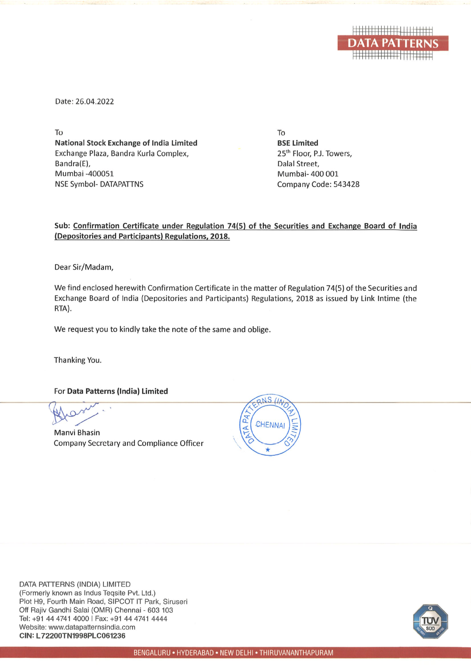

Date: 26.04.2022

To **National Stock Exchange of India Limited** Exchange Plaza, Bandra Kurla Complex, Bandra(E), Mumbai -400051 **NSE Symbol- DATAPATTNS** 

To **BSE Limited** 25<sup>th</sup> Floor, P.J. Towers. Dalal Street. Mumbai- 400 001 Company Code: 543428

Sub: Confirmation Certificate under Regulation 74(5) of the Securities and Exchange Board of India (Depositories and Participants) Regulations, 2018.

Dear Sir/Madam,

We find enclosed herewith Confirmation Certificate in the matter of Regulation 74(5) of the Securities and Exchange Board of India (Depositories and Participants) Regulations, 2018 as issued by Link Intime (the RTA).

We request you to kindly take the note of the same and oblige.

Thanking You.

For Data Patterns (India) Limited

**Manyi Bhasin Company Secretary and Compliance Officer** 



DATA PATTERNS (INDIA) LIMITED (Formerly known as Indus Tegsite Pvt. Ltd.) Plot H9, Fourth Main Road, SIPCOT IT Park, Siruseri Off Rajiv Gandhi Salai (OMR) Chennai - 603 103 Tel: +91 44 4741 4000 | Fax: +91 44 4741 4444 Website: www.datapatternsindia.com CIN: L72200TN1998PLC061236